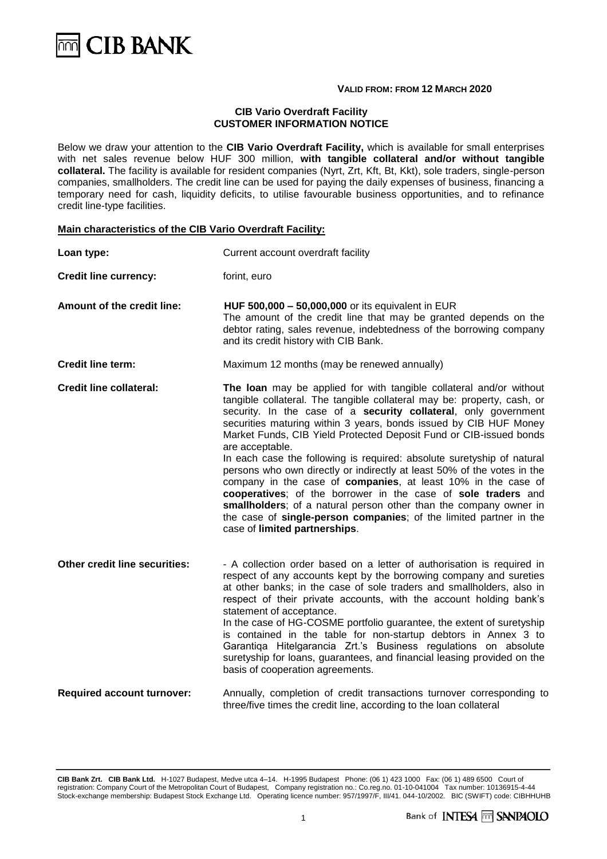# $\overline{\mathbb{M}}$  CIB BANK

#### **VALID FROM: FROM 12 MARCH 2020**

#### **CIB Vario Overdraft Facility CUSTOMER INFORMATION NOTICE**

Below we draw your attention to the **CIB Vario Overdraft Facility,** which is available for small enterprises with net sales revenue below HUF 300 million, **with tangible collateral and/or without tangible collateral.** The facility is available for resident companies (Nyrt, Zrt, Kft, Bt, Kkt), sole traders, single-person companies, smallholders. The credit line can be used for paying the daily expenses of business, financing a temporary need for cash, liquidity deficits, to utilise favourable business opportunities, and to refinance credit line-type facilities.

#### **Main characteristics of the CIB Vario Overdraft Facility:**

| Loan type:                        | Current account overdraft facility                                                                                                                                                                                                                                                                                                                                                                                                                                                                                                                                                                                                                                                                                                                                                                                                                 |
|-----------------------------------|----------------------------------------------------------------------------------------------------------------------------------------------------------------------------------------------------------------------------------------------------------------------------------------------------------------------------------------------------------------------------------------------------------------------------------------------------------------------------------------------------------------------------------------------------------------------------------------------------------------------------------------------------------------------------------------------------------------------------------------------------------------------------------------------------------------------------------------------------|
| <b>Credit line currency:</b>      | forint, euro                                                                                                                                                                                                                                                                                                                                                                                                                                                                                                                                                                                                                                                                                                                                                                                                                                       |
| Amount of the credit line:        | HUF 500,000 - 50,000,000 or its equivalent in EUR<br>The amount of the credit line that may be granted depends on the<br>debtor rating, sales revenue, indebtedness of the borrowing company<br>and its credit history with CIB Bank.                                                                                                                                                                                                                                                                                                                                                                                                                                                                                                                                                                                                              |
| <b>Credit line term:</b>          | Maximum 12 months (may be renewed annually)                                                                                                                                                                                                                                                                                                                                                                                                                                                                                                                                                                                                                                                                                                                                                                                                        |
| <b>Credit line collateral:</b>    | The loan may be applied for with tangible collateral and/or without<br>tangible collateral. The tangible collateral may be: property, cash, or<br>security. In the case of a security collateral, only government<br>securities maturing within 3 years, bonds issued by CIB HUF Money<br>Market Funds, CIB Yield Protected Deposit Fund or CIB-issued bonds<br>are acceptable.<br>In each case the following is required: absolute suretyship of natural<br>persons who own directly or indirectly at least 50% of the votes in the<br>company in the case of companies, at least 10% in the case of<br>cooperatives; of the borrower in the case of sole traders and<br>smallholders; of a natural person other than the company owner in<br>the case of single-person companies; of the limited partner in the<br>case of limited partnerships. |
| Other credit line securities:     | - A collection order based on a letter of authorisation is required in<br>respect of any accounts kept by the borrowing company and sureties<br>at other banks; in the case of sole traders and smallholders, also in<br>respect of their private accounts, with the account holding bank's<br>statement of acceptance.<br>In the case of HG-COSME portfolio guarantee, the extent of suretyship<br>is contained in the table for non-startup debtors in Annex 3 to<br>Garantiga Hitelgarancia Zrt.'s Business regulations on absolute<br>suretyship for loans, guarantees, and financial leasing provided on the<br>basis of cooperation agreements.                                                                                                                                                                                              |
| <b>Required account turnover:</b> | Annually, completion of credit transactions turnover corresponding to<br>three/five times the credit line, according to the loan collateral                                                                                                                                                                                                                                                                                                                                                                                                                                                                                                                                                                                                                                                                                                        |

**CIB Bank Zrt. CIB Bank Ltd.** H-1027 Budapest, Medve utca 4–14. H-1995 Budapest Phone: (06 1) 423 1000 Fax: (06 1) 489 6500 Court of registration: Company Court of the Metropolitan Court of Budapest, Company registration no.: Co.reg.no. 01-10-041004 Tax number: 10136915-4-44 Stock-exchange membership: Budapest Stock Exchange Ltd. Operating licence number: 957/1997/F, III/41. 044-10/2002. BIC (SWIFT) code: CIBHHUHB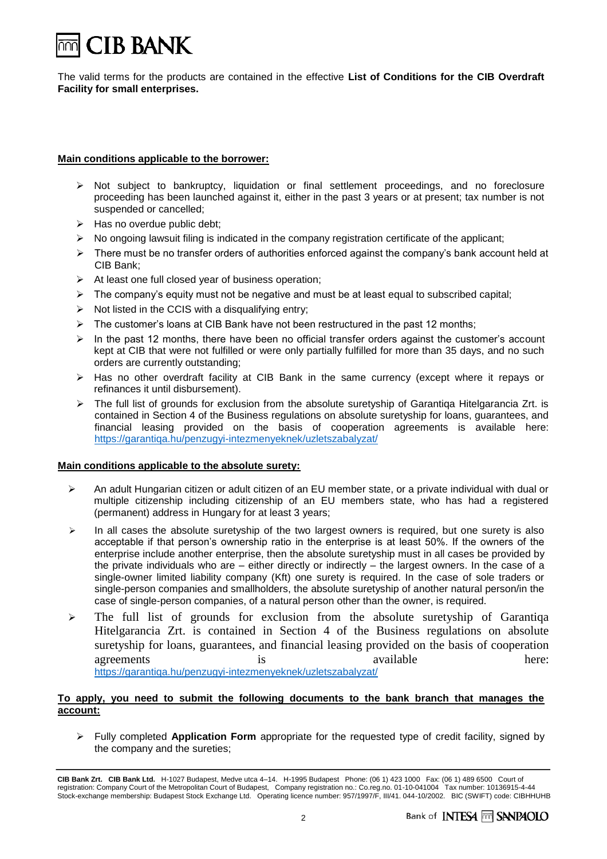# **CIB BANK**

The valid terms for the products are contained in the effective **List of Conditions for the CIB Overdraft Facility for small enterprises.**

#### **Main conditions applicable to the borrower:**

- ➢ Not subject to bankruptcy, liquidation or final settlement proceedings, and no foreclosure proceeding has been launched against it, either in the past 3 years or at present; tax number is not suspended or cancelled;
- $\triangleright$  Has no overdue public debt;
- ➢ No ongoing lawsuit filing is indicated in the company registration certificate of the applicant;
- $\triangleright$  There must be no transfer orders of authorities enforced against the company's bank account held at CIB Bank;
- ➢ At least one full closed year of business operation;
- $\triangleright$  The company's equity must not be negative and must be at least equal to subscribed capital;
- $\triangleright$  Not listed in the CCIS with a disqualifying entry;
- $\triangleright$  The customer's loans at CIB Bank have not been restructured in the past 12 months;
- $\triangleright$  In the past 12 months, there have been no official transfer orders against the customer's account kept at CIB that were not fulfilled or were only partially fulfilled for more than 35 days, and no such orders are currently outstanding;
- ➢ Has no other overdraft facility at CIB Bank in the same currency (except where it repays or refinances it until disbursement).
- $\triangleright$  The full list of grounds for exclusion from the absolute suretyship of Garantiqa Hitelgarancia Zrt. is contained in Section 4 of the Business regulations on absolute suretyship for loans, guarantees, and financial leasing provided on the basis of cooperation agreements is available here: <https://garantiqa.hu/penzugyi-intezmenyeknek/uzletszabalyzat/>

# **Main conditions applicable to the absolute surety:**

- $\triangleright$  An adult Hungarian citizen or adult citizen of an EU member state, or a private individual with dual or multiple citizenship including citizenship of an EU members state, who has had a registered (permanent) address in Hungary for at least 3 years;
- $\triangleright$  In all cases the absolute suretyship of the two largest owners is required, but one surety is also acceptable if that person's ownership ratio in the enterprise is at least 50%. If the owners of the enterprise include another enterprise, then the absolute suretyship must in all cases be provided by the private individuals who are – either directly or indirectly – the largest owners. In the case of a single-owner limited liability company (Kft) one surety is required. In the case of sole traders or single-person companies and smallholders, the absolute suretyship of another natural person/in the case of single-person companies, of a natural person other than the owner, is required.
- ➢ The full list of grounds for exclusion from the absolute suretyship of Garantiqa Hitelgarancia Zrt. is contained in Section 4 of the Business regulations on absolute suretyship for loans, guarantees, and financial leasing provided on the basis of cooperation agreements is is available here: <https://garantiqa.hu/penzugyi-intezmenyeknek/uzletszabalyzat/>

# **To apply, you need to submit the following documents to the bank branch that manages the account:**

➢ Fully completed **Application Form** appropriate for the requested type of credit facility, signed by the company and the sureties;

**CIB Bank Zrt. CIB Bank Ltd.** H-1027 Budapest, Medve utca 4–14. H-1995 Budapest Phone: (06 1) 423 1000 Fax: (06 1) 489 6500 Court of registration: Company Court of the Metropolitan Court of Budapest, Company registration no.: Co.reg.no. 01-10-041004 Tax number: 10136915-4-44 Stock-exchange membership: Budapest Stock Exchange Ltd. Operating licence number: 957/1997/F, III/41. 044-10/2002. BIC (SWIFT) code: CIBHHUHB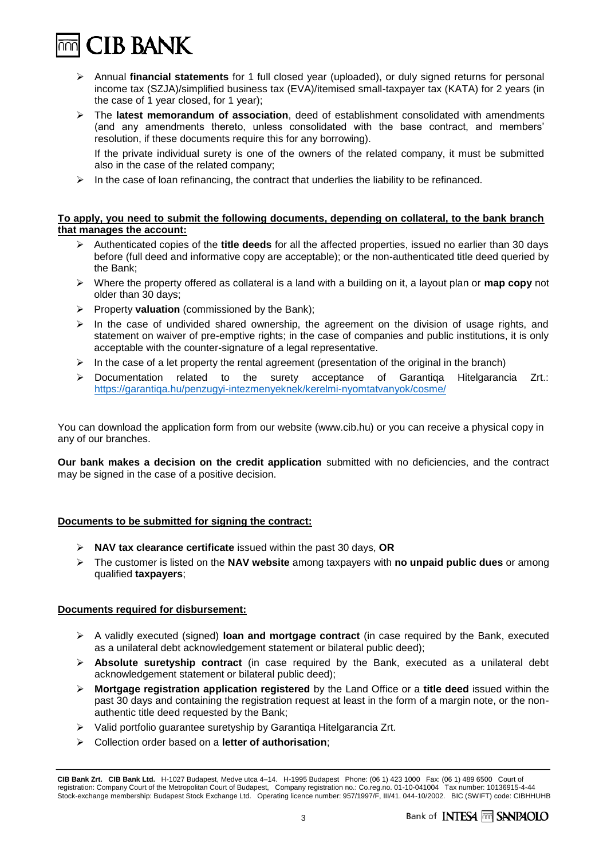$\overline{\mathbb{M}}$  CIB BANK

- ➢ Annual **financial statements** for 1 full closed year (uploaded), or duly signed returns for personal income tax (SZJA)/simplified business tax (EVA)/itemised small-taxpayer tax (KATA) for 2 years (in the case of 1 year closed, for 1 year);
- ➢ The **latest memorandum of association**, deed of establishment consolidated with amendments (and any amendments thereto, unless consolidated with the base contract, and members' resolution, if these documents require this for any borrowing).

If the private individual surety is one of the owners of the related company, it must be submitted also in the case of the related company;

 $\triangleright$  In the case of loan refinancing, the contract that underlies the liability to be refinanced.

#### **To apply, you need to submit the following documents, depending on collateral, to the bank branch that manages the account:**

- ➢ Authenticated copies of the **title deeds** for all the affected properties, issued no earlier than 30 days before (full deed and informative copy are acceptable); or the non-authenticated title deed queried by the Bank;
- ➢ Where the property offered as collateral is a land with a building on it, a layout plan or **map copy** not older than 30 days;
- ➢ Property **valuation** (commissioned by the Bank);
- $\triangleright$  In the case of undivided shared ownership, the agreement on the division of usage rights, and statement on waiver of pre-emptive rights; in the case of companies and public institutions, it is only acceptable with the counter-signature of a legal representative.
- $\triangleright$  In the case of a let property the rental agreement (presentation of the original in the branch)
- ➢ Documentation related to the surety acceptance of Garantiqa Hitelgarancia Zrt.: <https://garantiqa.hu/penzugyi-intezmenyeknek/kerelmi-nyomtatvanyok/cosme/>

You can download the application form from our website (www.cib.hu) or you can receive a physical copy in any of our branches.

**Our bank makes a decision on the credit application** submitted with no deficiencies, and the contract may be signed in the case of a positive decision.

# **Documents to be submitted for signing the contract:**

- ➢ **NAV tax clearance certificate** issued within the past 30 days, **OR**
- ➢ The customer is listed on the **NAV website** among taxpayers with **no unpaid public dues** or among qualified **taxpayers**;

# **Documents required for disbursement:**

- ➢ A validly executed (signed) **loan and mortgage contract** (in case required by the Bank, executed as a unilateral debt acknowledgement statement or bilateral public deed);
- ➢ **Absolute suretyship contract** (in case required by the Bank, executed as a unilateral debt acknowledgement statement or bilateral public deed);
- ➢ **Mortgage registration application registered** by the Land Office or a **title deed** issued within the past 30 days and containing the registration request at least in the form of a margin note, or the nonauthentic title deed requested by the Bank;
- ➢ Valid portfolio guarantee suretyship by Garantiqa Hitelgarancia Zrt.
- ➢ Collection order based on a **letter of authorisation**;

**CIB Bank Zrt. CIB Bank Ltd.** H-1027 Budapest, Medve utca 4–14. H-1995 Budapest Phone: (06 1) 423 1000 Fax: (06 1) 489 6500 Court of registration: Company Court of the Metropolitan Court of Budapest, Company registration no.: Co.reg.no. 01-10-041004 Tax number: 10136915-4-44 Stock-exchange membership: Budapest Stock Exchange Ltd. Operating licence number: 957/1997/F, III/41. 044-10/2002. BIC (SWIFT) code: CIBHHUHB